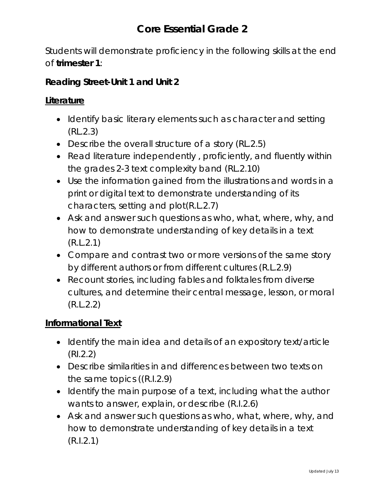Students will demonstrate proficiency in the following skills at the end of **trimester 1**:

## **Reading Street-Unit 1 and Unit 2**

### **Literature**

- Identify basic literary elements such as character and setting (RL.2.3)
- Describe the overall structure of a story (RL.2.5)
- Read literature independently , proficiently, and fluently within the grades 2-3 text complexity band (RL.2.10)
- Use the information gained from the illustrations and words in a print or digital text to demonstrate understanding of its characters, setting and plot(R.L.2.7)
- Ask and answer such questions as who, what, where, why, and how to demonstrate understanding of key details in a text (R.L.2.1)
- Compare and contrast two or more versions of the same story by different authors or from different cultures (R.L.2.9)
- Recount stories, including fables and folktales from diverse cultures, and determine their central message, lesson, or moral (R.L.2.2)

#### **Informational Text**

- Identify the main idea and details of an expository text/article (RI.2.2)
- Describe similarities in and differences between two texts on the same topics ((R.I.2.9)
- Identify the main purpose of a text, including what the author wants to answer, explain, or describe (R.I.2.6)
- Ask and answer such questions as who, what, where, why, and how to demonstrate understanding of key details in a text (R.I.2.1)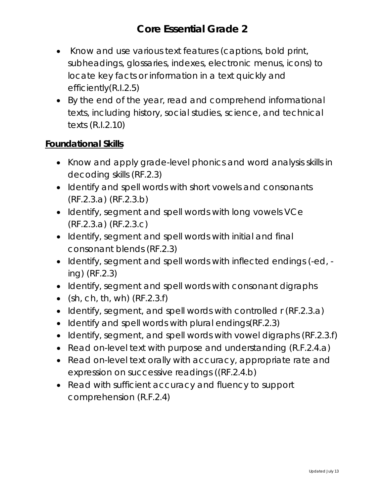- Know and use various text features (captions, bold print, subheadings, glossaries, indexes, electronic menus, icons) to locate key facts or information in a text quickly and efficiently(R.I.2.5)
- By the end of the year, read and comprehend informational texts, including history, social studies, science, and technical texts (R.I.2.10)

## **Foundational Skills**

- Know and apply grade-level phonics and word analysis skills in decoding skills (RF.2.3)
- Identify and spell words with short vowels and consonants (RF.2.3.a) (RF.2.3.b)
- Identify, segment and spell words with long vowels VCe (RF.2.3.a) (RF.2.3.c)
- Identify, segment and spell words with initial and final consonant blends (RF.2.3)
- Identify, segment and spell words with inflected endings (-ed, ing) (RF.2.3)
- Identify, segment and spell words with consonant digraphs
- $(sh, ch, th, wh)$   $(RF.2.3.f)$
- Identify, segment, and spell words with controlled r (RF.2.3.a)
- Identify and spell words with plural endings(RF.2.3)
- Identify, segment, and spell words with vowel digraphs (RF.2.3.f)
- Read on-level text with purpose and understanding (R.F.2.4.a)
- Read on-level text orally with accuracy, appropriate rate and expression on successive readings ((RF.2.4.b)
- Read with sufficient accuracy and fluency to support comprehension (R.F.2.4)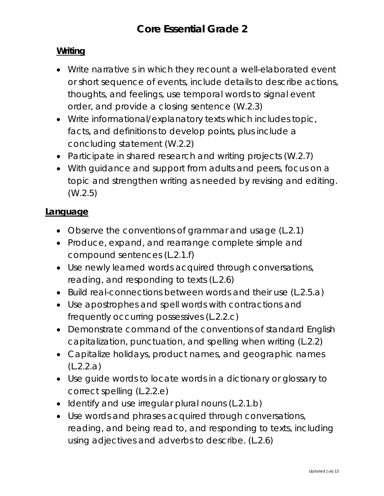## **Writing**

- Write narrative s in which they recount a well-elaborated event or short sequence of events, include details to describe actions, thoughts, and feelings, use temporal words to signal event order, and provide a closing sentence (W.2.3)
- Write informational/explanatory texts which includes topic, facts, and definitions to develop points, plus include a concluding statement (W.2.2)
- Participate in shared research and writing projects (W.2.7)
- With guidance and support from adults and peers, focus on a topic and strengthen writing as needed by revising and editing. (W.2.5)

#### **Language**

- Observe the conventions of grammar and usage (L.2.1)
- Produce, expand, and rearrange complete simple and compound sentences (L.2.1.f)
- Use newly learned words acquired through conversations, reading, and responding to texts (L.2.6)
- Build real-connections between words and their use (L.2.5.a)
- Use apostrophes and spell words with contractions and frequently occurring possessives (L.2.2.c)
- Demonstrate command of the conventions of standard English capitalization, punctuation, and spelling when writing (L.2.2)
- Capitalize holidays, product names, and geographic names (L.2.2.a)
- Use guide words to locate words in a dictionary or glossary to correct spelling (L.2.2.e)
- Identify and use irregular plural nouns (L.2.1.b)
- Use words and phrases acquired through conversations, reading, and being read to, and responding to texts, including using adjectives and adverbs to describe. (L.2.6)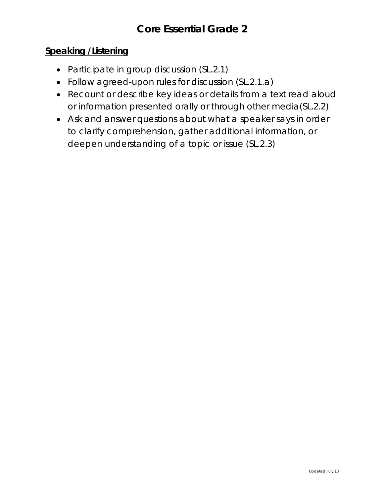## **Speaking /Listening**

- Participate in group discussion (SL.2.1)
- Follow agreed-upon rules for discussion (SL.2.1.a)
- Recount or describe key ideas or details from a text read aloud or information presented orally or through other media(SL.2.2)
- Ask and answer questions about what a speaker says in order to clarify comprehension, gather additional information, or deepen understanding of a topic or issue (SL.2.3)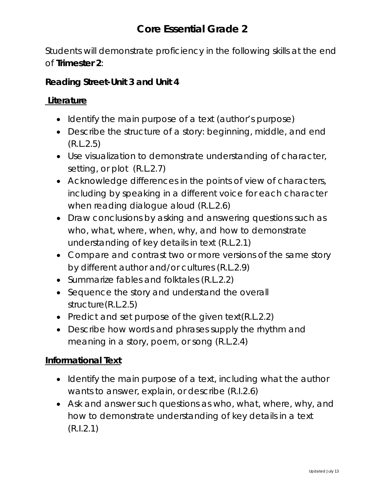Students will demonstrate proficiency in the following skills at the end of **Trimester 2**:

### **Reading Street-Unit 3 and Unit 4**

#### **Literature**

- Identify the main purpose of a text (author's purpose)
- Describe the structure of a story: beginning, middle, and end (R.L.2.5)
- Use visualization to demonstrate understanding of character, setting, or plot (R.L.2.7)
- Acknowledge differences in the points of view of characters, including by speaking in a different voice for each character when reading dialogue aloud (R.L.2.6)
- Draw conclusions by asking and answering questions such as who, what, where, when, why, and how to demonstrate understanding of key details in text (R.L.2.1)
- Compare and contrast two or more versions of the same story by different author and/or cultures (R.L.2.9)
- Summarize fables and folktales (R.L.2.2)
- Sequence the story and understand the overall structure(R.L.2.5)
- Predict and set purpose of the given text(R.L.2.2)
- Describe how words and phrases supply the rhythm and meaning in a story, poem, or song (R.L.2.4)

#### **Informational Text**

- Identify the main purpose of a text, including what the author wants to answer, explain, or describe (R.I.2.6)
- Ask and answer such questions as who, what, where, why, and how to demonstrate understanding of key details in a text (R.I.2.1)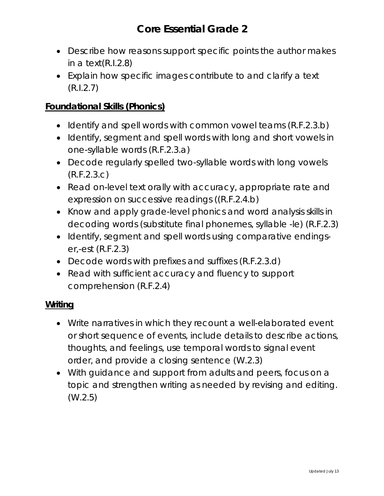- Describe how reasons support specific points the author makes in a text(R.I.2.8)
- Explain how specific images contribute to and clarify a text (R.I.2.7)

## **Foundational Skills (Phonics)**

- Identify and spell words with common vowel teams (R.F.2.3.b)
- Identify, segment and spell words with long and short vowels in one-syllable words (R.F.2.3.a)
- Decode regularly spelled two-syllable words with long vowels (R.F.2.3.c)
- Read on-level text orally with accuracy, appropriate rate and expression on successive readings ((R.F.2.4.b)
- Know and apply grade-level phonics and word analysis skills in decoding words (substitute final phonemes, syllable -le) (R.F.2.3)
- Identify, segment and spell words using comparative endingser,-est (R.F.2.3)
- Decode words with prefixes and suffixes (R.F.2.3.d)
- Read with sufficient accuracy and fluency to support comprehension (R.F.2.4)

## **Writing**

- Write narratives in which they recount a well-elaborated event or short sequence of events, include details to describe actions, thoughts, and feelings, use temporal words to signal event order, and provide a closing sentence (W.2.3)
- With guidance and support from adults and peers, focus on a topic and strengthen writing as needed by revising and editing. (W.2.5)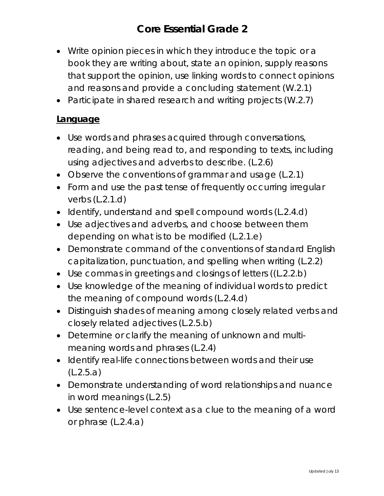- Write opinion pieces in which they introduce the topic or a book they are writing about, state an opinion, supply reasons that support the opinion, use linking words to connect opinions and reasons and provide a concluding statement (W.2.1)
- Participate in shared research and writing projects (W.2.7)

#### **Language**

- Use words and phrases acquired through conversations, reading, and being read to, and responding to texts, including using adjectives and adverbs to describe. (L.2.6)
- Observe the conventions of grammar and usage (L.2.1)
- Form and use the past tense of frequently occurring irregular verbs (L.2.1.d)
- Identify, understand and spell compound words (L.2.4.d)
- Use adjectives and adverbs, and choose between them depending on what is to be modified (L.2.1.e)
- Demonstrate command of the conventions of standard English capitalization, punctuation, and spelling when writing (L.2.2)
- Use commas in greetings and closings of letters ((L.2.2.b)
- Use knowledge of the meaning of individual words to predict the meaning of compound words (L.2.4.d)
- Distinguish shades of meaning among closely related verbs and closely related adjectives (L.2.5.b)
- Determine or clarify the meaning of unknown and multimeaning words and phrases (L.2.4)
- Identify real-life connections between words and their use (L.2.5.a)
- Demonstrate understanding of word relationships and nuance in word meanings (L.2.5)
- Use sentence-level context as a clue to the meaning of a word or phrase (L.2.4.a)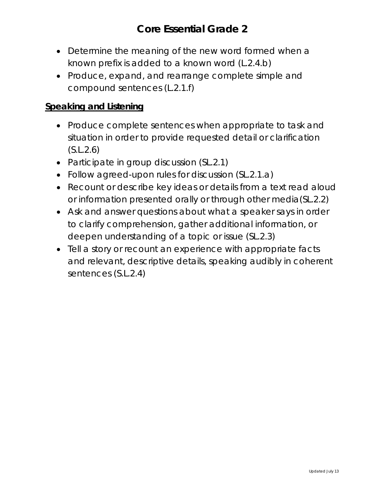- Determine the meaning of the new word formed when a known prefix is added to a known word (L.2.4.b)
- Produce, expand, and rearrange complete simple and compound sentences (L.2.1.f)

### **Speaking and Listening**

- Produce complete sentences when appropriate to task and situation in order to provide requested detail or clarification (S.L.2.6)
- Participate in group discussion (SL.2.1)
- Follow agreed-upon rules for discussion (SL.2.1.a)
- Recount or describe key ideas or details from a text read aloud or information presented orally or through other media(SL.2.2)
- Ask and answer questions about what a speaker says in order to clarify comprehension, gather additional information, or deepen understanding of a topic or issue (SL.2.3)
- Tell a story or recount an experience with appropriate facts and relevant, descriptive details, speaking audibly in coherent sentences (S.L.2.4)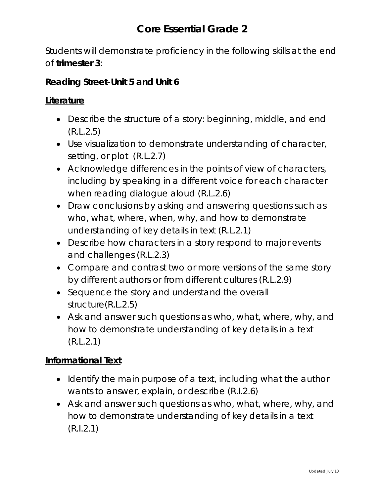Students will demonstrate proficiency in the following skills at the end of **trimester 3**:

### **Reading Street-Unit 5 and Unit 6**

## **Literature**

- Describe the structure of a story: beginning, middle, and end (R.L.2.5)
- Use visualization to demonstrate understanding of character, setting, or plot (R.L.2.7)
- Acknowledge differences in the points of view of characters, including by speaking in a different voice for each character when reading dialogue aloud (R.L.2.6)
- Draw conclusions by asking and answering questions such as who, what, where, when, why, and how to demonstrate understanding of key details in text (R.L.2.1)
- Describe how characters in a story respond to major events and challenges (R.L.2.3)
- Compare and contrast two or more versions of the same story by different authors or from different cultures (R.L.2.9)
- Sequence the story and understand the overall structure(R.L.2.5)
- Ask and answer such questions as who, what, where, why, and how to demonstrate understanding of key details in a text (R.L.2.1)

## **Informational Text**

- Identify the main purpose of a text, including what the author wants to answer, explain, or describe (R.I.2.6)
- Ask and answer such questions as who, what, where, why, and how to demonstrate understanding of key details in a text (R.I.2.1)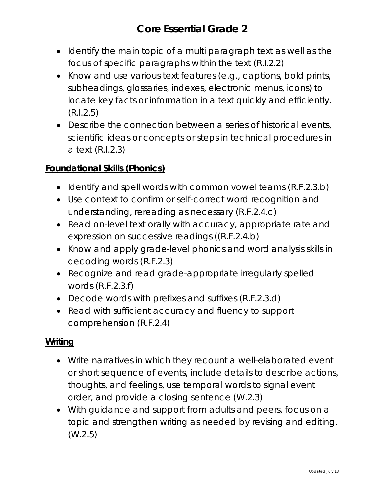- Identify the main topic of a multi paragraph text as well as the focus of specific paragraphs within the text (R.I.2.2)
- Know and use various text features (e.g., captions, bold prints, subheadings, glossaries, indexes, electronic menus, icons) to locate key facts or information in a text quickly and efficiently. (R.I.2.5)
- Describe the connection between a series of historical events, scientific ideas or concepts or steps in technical procedures in a text (R.I.2.3)

## **Foundational Skills (Phonics)**

- Identify and spell words with common vowel teams (R.F.2.3.b)
- Use context to confirm or self-correct word recognition and understanding, rereading as necessary (R.F.2.4.c)
- Read on-level text orally with accuracy, appropriate rate and expression on successive readings ((R.F.2.4.b)
- Know and apply grade-level phonics and word analysis skills in decoding words (R.F.2.3)
- Recognize and read grade-appropriate irregularly spelled words (R.F.2.3.f)
- Decode words with prefixes and suffixes (R.F.2.3.d)
- Read with sufficient accuracy and fluency to support comprehension (R.F.2.4)

#### **Writing**

- Write narratives in which they recount a well-elaborated event or short sequence of events, include details to describe actions, thoughts, and feelings, use temporal words to signal event order, and provide a closing sentence (W.2.3)
- With guidance and support from adults and peers, focus on a topic and strengthen writing as needed by revising and editing. (W.2.5)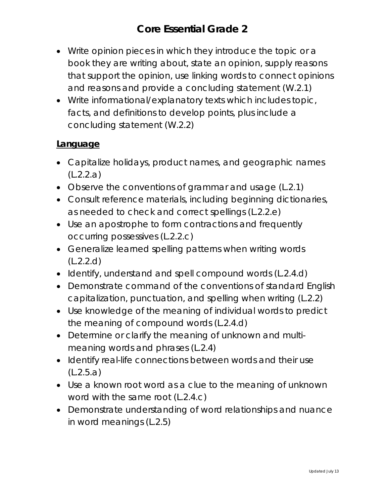- Write opinion pieces in which they introduce the topic or a book they are writing about, state an opinion, supply reasons that support the opinion, use linking words to connect opinions and reasons and provide a concluding statement (W.2.1)
- Write informational/explanatory texts which includes topic, facts, and definitions to develop points, plus include a concluding statement (W.2.2)

## **Language**

- Capitalize holidays, product names, and geographic names (L.2.2.a)
- Observe the conventions of grammar and usage (L.2.1)
- Consult reference materials, including beginning dictionaries, as needed to check and correct spellings (L.2.2.e)
- Use an apostrophe to form contractions and frequently occurring possessives (L.2.2.c)
- Generalize learned spelling patterns when writing words (L.2.2.d)
- Identify, understand and spell compound words (L.2.4.d)
- Demonstrate command of the conventions of standard English capitalization, punctuation, and spelling when writing (L.2.2)
- Use knowledge of the meaning of individual words to predict the meaning of compound words (L.2.4.d)
- Determine or clarify the meaning of unknown and multimeaning words and phrases (L.2.4)
- Identify real-life connections between words and their use (L.2.5.a)
- Use a known root word as a clue to the meaning of unknown word with the same root (L.2.4.c)
- Demonstrate understanding of word relationships and nuance in word meanings (L.2.5)